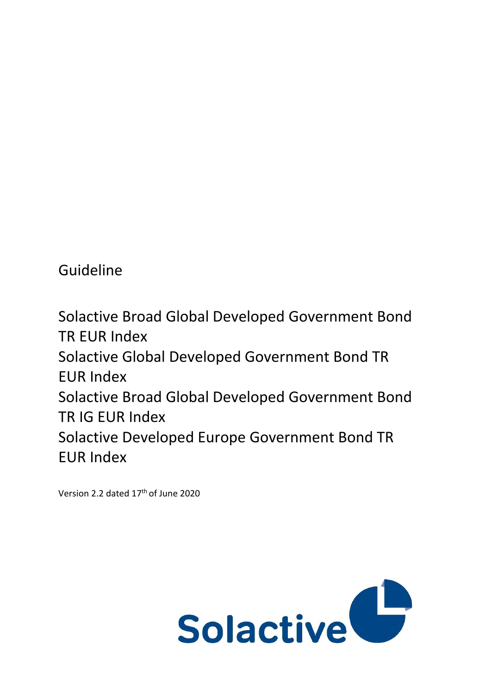Guideline

Solactive Broad Global Developed Government Bond TR EUR Index Solactive Global Developed Government Bond TR EUR Index Solactive Broad Global Developed Government Bond TR IG EUR Index Solactive Developed Europe Government Bond TR EUR Index

Version 2.2 dated 17th of June 2020

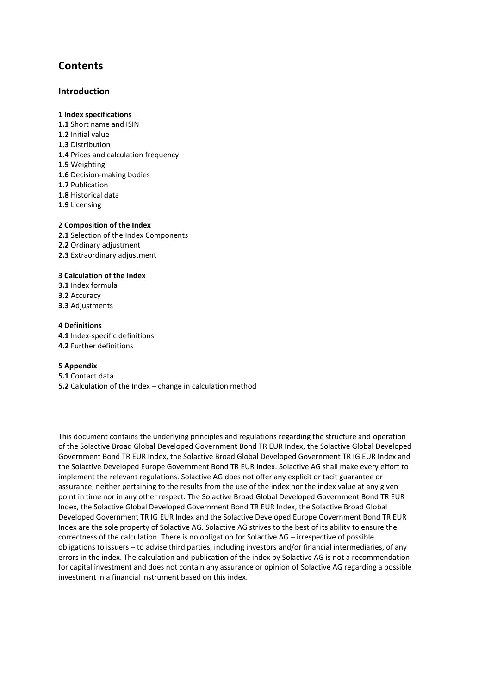# **Contents**

### **Introduction**

#### **1 Index specifications**

**1.1** Short name and ISIN **1.2** Initial value **1.3** Distribution **1.4** Prices and calculation frequency **1.5** Weighting **1.6** Decision-making bodies **1.7** Publication **1.8** Historical data **1.9** Licensing

#### **2 Composition of the Index**

**2.1** Selection of the Index Components **2.2** Ordinary adjustment **2.3** Extraordinary adjustment

#### **3 Calculation of the Index**

**3.1** Index formula **3.2** Accuracy **3.3** Adjustments

#### **4 Definitions**

**4.1** Index-specific definitions **4.2** Further definitions

#### **5 Appendix**

**5.1** Contact data **5.2** Calculation of the Index – change in calculation method

This document contains the underlying principles and regulations regarding the structure and operation of the Solactive Broad Global Developed Government Bond TR EUR Index, the Solactive Global Developed Government Bond TR EUR Index, the Solactive Broad Global Developed Government TR IG EUR Index and the Solactive Developed Europe Government Bond TR EUR Index. Solactive AG shall make every effort to implement the relevant regulations. Solactive AG does not offer any explicit or tacit guarantee or assurance, neither pertaining to the results from the use of the index nor the index value at any given point in time nor in any other respect. The Solactive Broad Global Developed Government Bond TR EUR Index, the Solactive Global Developed Government Bond TR EUR Index, the Solactive Broad Global Developed Government TR IG EUR Index and the Solactive Developed Europe Government Bond TR EUR Index are the sole property of Solactive AG. Solactive AG strives to the best of its ability to ensure the correctness of the calculation. There is no obligation for Solactive AG – irrespective of possible obligations to issuers – to advise third parties, including investors and/or financial intermediaries, of any errors in the index. The calculation and publication of the index by Solactive AG is not a recommendation for capital investment and does not contain any assurance or opinion of Solactive AG regarding a possible investment in a financial instrument based on this index.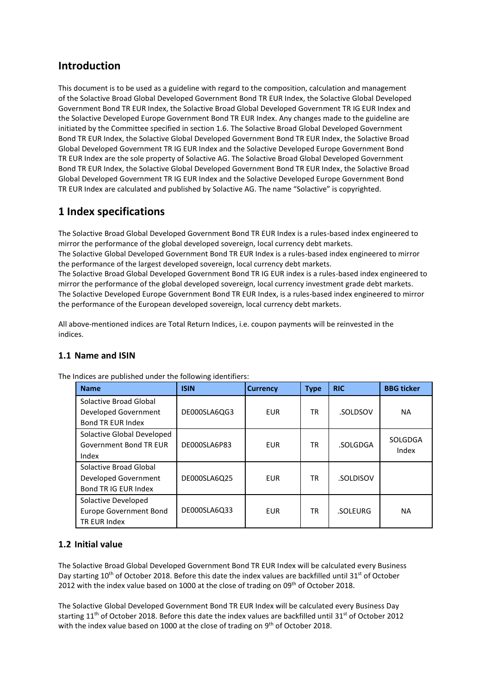# **Introduction**

This document is to be used as a guideline with regard to the composition, calculation and management of the Solactive Broad Global Developed Government Bond TR EUR Index, the Solactive Global Developed Government Bond TR EUR Index, the Solactive Broad Global Developed Government TR IG EUR Index and the Solactive Developed Europe Government Bond TR EUR Index. Any changes made to the guideline are initiated by the Committee specified in section 1.6. The Solactive Broad Global Developed Government Bond TR EUR Index, the Solactive Global Developed Government Bond TR EUR Index, the Solactive Broad Global Developed Government TR IG EUR Index and the Solactive Developed Europe Government Bond TR EUR Index are the sole property of Solactive AG. The Solactive Broad Global Developed Government Bond TR EUR Index, the Solactive Global Developed Government Bond TR EUR Index, the Solactive Broad Global Developed Government TR IG EUR Index and the Solactive Developed Europe Government Bond TR EUR Index are calculated and published by Solactive AG. The name "Solactive" is copyrighted.

# **1 Index specifications**

The Solactive Broad Global Developed Government Bond TR EUR Index is a rules-based index engineered to mirror the performance of the global developed sovereign, local currency debt markets. The Solactive Global Developed Government Bond TR EUR Index is a rules-based index engineered to mirror the performance of the largest developed sovereign, local currency debt markets. The Solactive Broad Global Developed Government Bond TR IG EUR index is a rules-based index engineered to mirror the performance of the global developed sovereign, local currency investment grade debt markets. The Solactive Developed Europe Government Bond TR EUR Index, is a rules-based index engineered to mirror the performance of the European developed sovereign, local currency debt markets.

All above-mentioned indices are Total Return Indices, i.e. coupon payments will be reinvested in the indices.

# **1.1 Name and ISIN**

| <b>Name</b>                                                                | <b>ISIN</b>  | <b>Currency</b> | <b>Type</b> | <b>RIC</b> | <b>BBG ticker</b> |
|----------------------------------------------------------------------------|--------------|-----------------|-------------|------------|-------------------|
| Solactive Broad Global<br>Developed Government<br><b>Bond TR EUR Index</b> | DE000SLA6QG3 | <b>EUR</b>      | TR          | .SOLDSOV   | <b>NA</b>         |
| Solactive Global Developed<br><b>Government Bond TR EUR</b><br>Index       | DE000SLA6P83 | <b>EUR</b>      | TR          | .SOLGDGA   | SOLGDGA<br>Index  |
| Solactive Broad Global<br>Developed Government<br>Bond TR IG EUR Index     | DE000SLA6Q25 | <b>EUR</b>      | TR          | .SOLDISOV  |                   |
| Solactive Developed<br><b>Europe Government Bond</b><br>TR EUR Index       | DE000SLA6Q33 | <b>EUR</b>      | <b>TR</b>   | .SOLEURG   | <b>NA</b>         |

The Indices are published under the following identifiers:

# **1.2 Initial value**

The Solactive Broad Global Developed Government Bond TR EUR Index will be calculated every Business Day starting  $10^{th}$  of October 2018. Before this date the index values are backfilled until 31st of October 2012 with the index value based on 1000 at the close of trading on 09th of October 2018.

The Solactive Global Developed Government Bond TR EUR Index will be calculated every Business Day starting  $11<sup>th</sup>$  of October 2018. Before this date the index values are backfilled until 31<sup>st</sup> of October 2012 with the index value based on 1000 at the close of trading on  $9<sup>th</sup>$  of October 2018.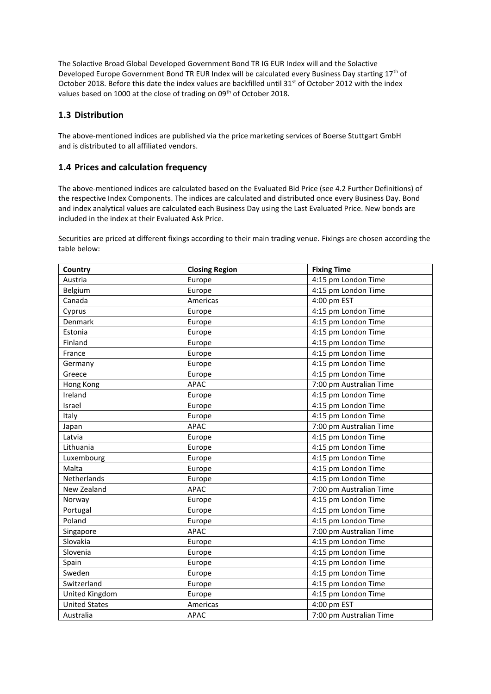The Solactive Broad Global Developed Government Bond TR IG EUR Index will and the Solactive Developed Europe Government Bond TR EUR Index will be calculated every Business Day starting 17<sup>th</sup> of October 2018. Before this date the index values are backfilled until 31<sup>st</sup> of October 2012 with the index values based on 1000 at the close of trading on 09<sup>th</sup> of October 2018.

# **1.3 Distribution**

The above-mentioned indices are published via the price marketing services of Boerse Stuttgart GmbH and is distributed to all affiliated vendors.

## **1.4 Prices and calculation frequency**

The above-mentioned indices are calculated based on the Evaluated Bid Price (see 4.2 Further Definitions) of the respective Index Components. The indices are calculated and distributed once every Business Day. Bond and index analytical values are calculated each Business Day using the Last Evaluated Price. New bonds are included in the index at their Evaluated Ask Price.

Securities are priced at different fixings according to their main trading venue. Fixings are chosen according the table below:

| Country              | <b>Closing Region</b> | <b>Fixing Time</b>      |
|----------------------|-----------------------|-------------------------|
| Austria              | Europe                | 4:15 pm London Time     |
| Belgium              | Europe                | 4:15 pm London Time     |
| Canada               | Americas              | 4:00 pm EST             |
| Cyprus               | Europe                | 4:15 pm London Time     |
| Denmark              | Europe                | 4:15 pm London Time     |
| Estonia              | Europe                | 4:15 pm London Time     |
| Finland              | Europe                | 4:15 pm London Time     |
| France               | Europe                | 4:15 pm London Time     |
| Germany              | Europe                | 4:15 pm London Time     |
| Greece               | Europe                | 4:15 pm London Time     |
| Hong Kong            | APAC                  | 7:00 pm Australian Time |
| Ireland              | Europe                | 4:15 pm London Time     |
| Israel               | Europe                | 4:15 pm London Time     |
| Italy                | Europe                | 4:15 pm London Time     |
| Japan                | <b>APAC</b>           | 7:00 pm Australian Time |
| Latvia               | Europe                | 4:15 pm London Time     |
| Lithuania            | Europe                | 4:15 pm London Time     |
| Luxembourg           | Europe                | 4:15 pm London Time     |
| Malta                | Europe                | 4:15 pm London Time     |
| Netherlands          | Europe                | 4:15 pm London Time     |
| New Zealand          | <b>APAC</b>           | 7:00 pm Australian Time |
| Norway               | Europe                | 4:15 pm London Time     |
| Portugal             | Europe                | 4:15 pm London Time     |
| Poland               | Europe                | 4:15 pm London Time     |
| Singapore            | <b>APAC</b>           | 7:00 pm Australian Time |
| Slovakia             | Europe                | 4:15 pm London Time     |
| Slovenia             | Europe                | 4:15 pm London Time     |
| Spain                | Europe                | 4:15 pm London Time     |
| Sweden               | Europe                | 4:15 pm London Time     |
| Switzerland          | Europe                | 4:15 pm London Time     |
| United Kingdom       | Europe                | 4:15 pm London Time     |
| <b>United States</b> | Americas              | 4:00 pm EST             |
| Australia            | <b>APAC</b>           | 7:00 pm Australian Time |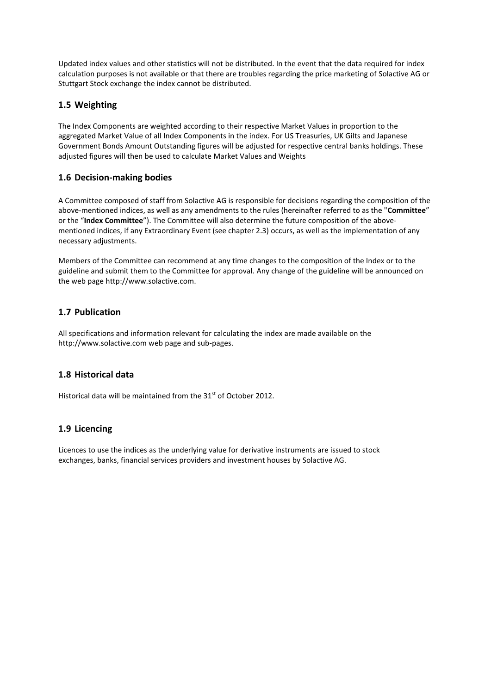Updated index values and other statistics will not be distributed. In the event that the data required for index calculation purposes is not available or that there are troubles regarding the price marketing of Solactive AG or Stuttgart Stock exchange the index cannot be distributed.

# **1.5 Weighting**

The Index Components are weighted according to their respective Market Values in proportion to the aggregated Market Value of all Index Components in the index. For US Treasuries, UK Gilts and Japanese Government Bonds Amount Outstanding figures will be adjusted for respective central banks holdings. These adjusted figures will then be used to calculate Market Values and Weights

# **1.6 Decision-making bodies**

A Committee composed of staff from Solactive AG is responsible for decisions regarding the composition of the above-mentioned indices, as well as any amendments to the rules (hereinafter referred to as the "**Committee**" or the "**Index Committee**"). The Committee will also determine the future composition of the abovementioned indices, if any Extraordinary Event (see chapter 2.3) occurs, as well as the implementation of any necessary adjustments.

Members of the Committee can recommend at any time changes to the composition of the Index or to the guideline and submit them to the Committee for approval. Any change of the guideline will be announced on the web page http://www.solactive.com.

# **1.7 Publication**

All specifications and information relevant for calculating the index are made available on the http://www.solactive.com web page and sub-pages.

# **1.8 Historical data**

Historical data will be maintained from the 31<sup>st</sup> of October 2012.

# **1.9 Licencing**

Licences to use the indices as the underlying value for derivative instruments are issued to stock exchanges, banks, financial services providers and investment houses by Solactive AG.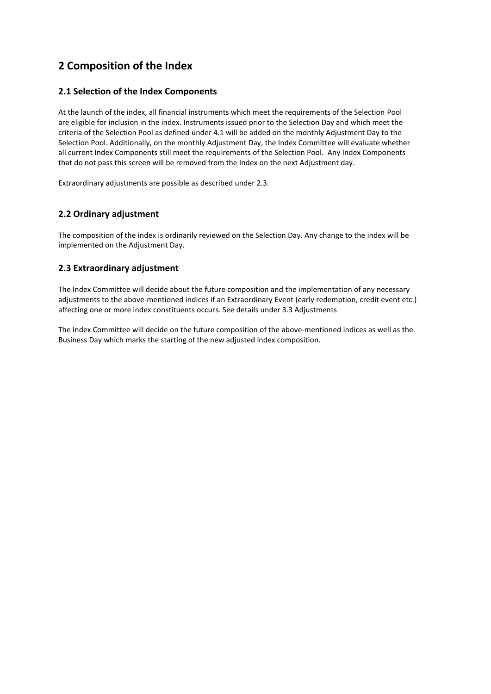# **2 Composition of the Index**

# **2.1 Selection of the Index Components**

At the launch of the index, all financial instruments which meet the requirements of the Selection Pool are eligible for inclusion in the index. Instruments issued prior to the Selection Day and which meet the criteria of the Selection Pool as defined under 4.1 will be added on the monthly Adjustment Day to the Selection Pool. Additionally, on the monthly Adjustment Day, the Index Committee will evaluate whether all current Index Components still meet the requirements of the Selection Pool. Any Index Components that do not pass this screen will be removed from the Index on the next Adjustment day.

Extraordinary adjustments are possible as described under 2.3.

# **2.2 Ordinary adjustment**

The composition of the index is ordinarily reviewed on the Selection Day. Any change to the index will be implemented on the Adjustment Day.

# **2.3 Extraordinary adjustment**

The Index Committee will decide about the future composition and the implementation of any necessary adjustments to the above-mentioned indices if an Extraordinary Event (early redemption, credit event etc.) affecting one or more index constituents occurs. See details under 3.3 Adjustments

The Index Committee will decide on the future composition of the above-mentioned indices as well as the Business Day which marks the starting of the new adjusted index composition.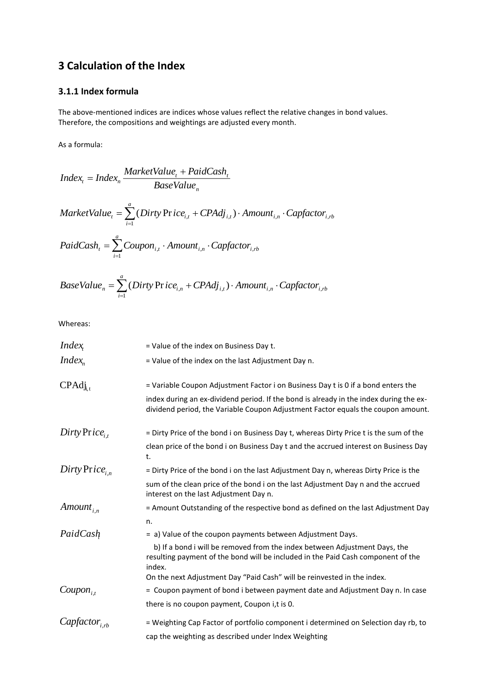# **3 Calculation of the Index**

# **3.1.1 Index formula**

The above-mentioned indices are indices whose values reflect the relative changes in bond values. Therefore, the compositions and weightings are adjusted every month.

As a formula:

$$
Index_{t} = Index_{n} \frac{MarketValue_{t} + PaidCash_{t}}{BaseValue_{n}}
$$
  
\n
$$
MarketValue_{t} = \sum_{i=1}^{a} (Dirty \text{Price}_{i,t} + CPAdj_{i,t}) \cdot Amount_{i,n} \cdot Capfactor_{i,rb}
$$
  
\n
$$
PaidCash_{t} = \sum_{i=1}^{a} Coupon_{i,t} \cdot Amount_{i,n} \cdot Capfactor_{i,rb}
$$

BaseValue<sub>n</sub> = 
$$
\sum_{i=1}^{a}
$$
 (Dirty Price<sub>i,n</sub> + CPAdj<sub>i,t</sub>) · Amount<sub>i,n</sub> · Capfactor<sub>i,rb</sub>

Whereas:

| <i>Index</i>         | = Value of the index on Business Day t.                                                                                                                                    |
|----------------------|----------------------------------------------------------------------------------------------------------------------------------------------------------------------------|
| $Index_{n}$          | = Value of the index on the last Adjustment Day n.                                                                                                                         |
| $CPAdj_{i,t}$        | = Variable Coupon Adjustment Factor i on Business Day t is 0 if a bond enters the                                                                                          |
|                      | index during an ex-dividend period. If the bond is already in the index during the ex-<br>dividend period, the Variable Coupon Adjustment Factor equals the coupon amount. |
| $Dirty Price_{i,t}$  | = Dirty Price of the bond i on Business Day t, whereas Dirty Price t is the sum of the                                                                                     |
|                      | clean price of the bond i on Business Day t and the accrued interest on Business Day<br>t.                                                                                 |
| $Dirty Price_{i,n}$  | = Dirty Price of the bond i on the last Adjustment Day n, whereas Dirty Price is the                                                                                       |
|                      | sum of the clean price of the bond i on the last Adjustment Day n and the accrued<br>interest on the last Adjustment Day n.                                                |
| Amount <sub>in</sub> | = Amount Outstanding of the respective bond as defined on the last Adjustment Day                                                                                          |
|                      | n.                                                                                                                                                                         |
| PaidCash             | = a) Value of the coupon payments between Adjustment Days.                                                                                                                 |
|                      | b) If a bond i will be removed from the index between Adjustment Days, the<br>resulting payment of the bond will be included in the Paid Cash component of the<br>index.   |
|                      | On the next Adjustment Day "Paid Cash" will be reinvested in the index.                                                                                                    |
| $Coupon_{i,t}$       | = Coupon payment of bond i between payment date and Adjustment Day n. In case                                                                                              |
|                      | there is no coupon payment, Coupon i,t is 0.                                                                                                                               |
| $Capfactor_{i,rb}$   | = Weighting Cap Factor of portfolio component i determined on Selection day rb, to                                                                                         |
|                      | cap the weighting as described under Index Weighting                                                                                                                       |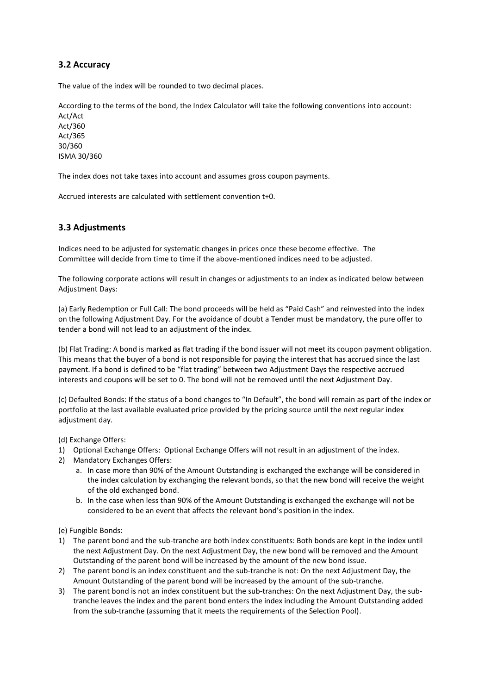### **3.2 Accuracy**

The value of the index will be rounded to two decimal places.

According to the terms of the bond, the Index Calculator will take the following conventions into account:

Act/Act Act/360 Act/365 30/360 ISMA 30/360

The index does not take taxes into account and assumes gross coupon payments.

Accrued interests are calculated with settlement convention t+0.

### **3.3 Adjustments**

Indices need to be adjusted for systematic changes in prices once these become effective. The Committee will decide from time to time if the above-mentioned indices need to be adjusted.

The following corporate actions will result in changes or adjustments to an index as indicated below between Adjustment Days:

(a) Early Redemption or Full Call: The bond proceeds will be held as "Paid Cash" and reinvested into the index on the following Adjustment Day. For the avoidance of doubt a Tender must be mandatory, the pure offer to tender a bond will not lead to an adjustment of the index.

(b) Flat Trading: A bond is marked as flat trading if the bond issuer will not meet its coupon payment obligation. This means that the buyer of a bond is not responsible for paying the interest that has accrued since the last payment. If a bond is defined to be "flat trading" between two Adjustment Days the respective accrued interests and coupons will be set to 0. The bond will not be removed until the next Adjustment Day.

(c) Defaulted Bonds: If the status of a bond changes to "In Default", the bond will remain as part of the index or portfolio at the last available evaluated price provided by the pricing source until the next regular index adjustment day.

(d) Exchange Offers:

- 1) Optional Exchange Offers: Optional Exchange Offers will not result in an adjustment of the index.
- 2) Mandatory Exchanges Offers:
	- a. In case more than 90% of the Amount Outstanding is exchanged the exchange will be considered in the index calculation by exchanging the relevant bonds, so that the new bond will receive the weight of the old exchanged bond.
	- b. In the case when less than 90% of the Amount Outstanding is exchanged the exchange will not be considered to be an event that affects the relevant bond's position in the index.

(e) Fungible Bonds:

- 1) The parent bond and the sub-tranche are both index constituents: Both bonds are kept in the index until the next Adjustment Day. On the next Adjustment Day, the new bond will be removed and the Amount Outstanding of the parent bond will be increased by the amount of the new bond issue.
- 2) The parent bond is an index constituent and the sub-tranche is not: On the next Adjustment Day, the Amount Outstanding of the parent bond will be increased by the amount of the sub-tranche.
- 3) The parent bond is not an index constituent but the sub-tranches: On the next Adjustment Day, the subtranche leaves the index and the parent bond enters the index including the Amount Outstanding added from the sub-tranche (assuming that it meets the requirements of the Selection Pool).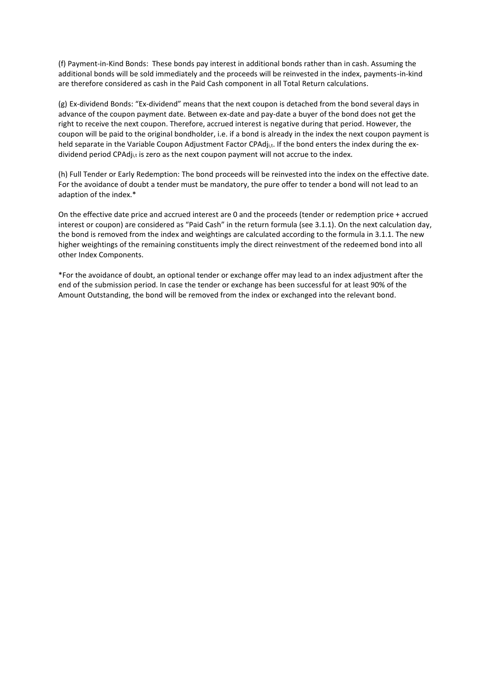(f) Payment-in-Kind Bonds: These bonds pay interest in additional bonds rather than in cash. Assuming the additional bonds will be sold immediately and the proceeds will be reinvested in the index, payments-in-kind are therefore considered as cash in the Paid Cash component in all Total Return calculations.

(g) Ex-dividend Bonds: "Ex-dividend" means that the next coupon is detached from the bond several days in advance of the coupon payment date. Between ex-date and pay-date a buyer of the bond does not get the right to receive the next coupon. Therefore, accrued interest is negative during that period. However, the coupon will be paid to the original bondholder, i.e. if a bond is already in the index the next coupon payment is held separate in the Variable Coupon Adjustment Factor CPAdj<sub>i,t</sub>. If the bond enters the index during the exdividend period CPAdji,t is zero as the next coupon payment will not accrue to the index.

(h) Full Tender or Early Redemption: The bond proceeds will be reinvested into the index on the effective date. For the avoidance of doubt a tender must be mandatory, the pure offer to tender a bond will not lead to an adaption of the index.\*

On the effective date price and accrued interest are 0 and the proceeds (tender or redemption price + accrued interest or coupon) are considered as "Paid Cash" in the return formula (see 3.1.1). On the next calculation day, the bond is removed from the index and weightings are calculated according to the formula in 3.1.1. The new higher weightings of the remaining constituents imply the direct reinvestment of the redeemed bond into all other Index Components.

\*For the avoidance of doubt, an optional tender or exchange offer may lead to an index adjustment after the end of the submission period. In case the tender or exchange has been successful for at least 90% of the Amount Outstanding, the bond will be removed from the index or exchanged into the relevant bond.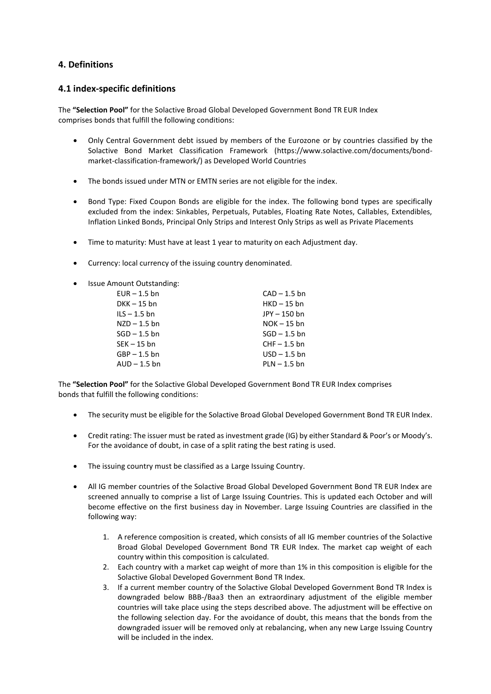### **4. Definitions**

### **4.1 index-specific definitions**

The **"Selection Pool"** for the Solactive Broad Global Developed Government Bond TR EUR Index comprises bonds that fulfill the following conditions:

- Only Central Government debt issued by members of the Eurozone or by countries classified by the Solactive Bond Market Classification Framework [\(https://www.solactive.com/documents/bond](https://www.solactive.com/documents/bond-market-classification-framework/)[market-classification-framework/\)](https://www.solactive.com/documents/bond-market-classification-framework/) as Developed World Countries
- The bonds issued under MTN or EMTN series are not eligible for the index.
- Bond Type: Fixed Coupon Bonds are eligible for the index. The following bond types are specifically excluded from the index: Sinkables, Perpetuals, Putables, Floating Rate Notes, Callables, Extendibles, Inflation Linked Bonds, Principal Only Strips and Interest Only Strips as well as Private Placements
- Time to maturity: Must have at least 1 year to maturity on each Adjustment day.
- Currency: local currency of the issuing country denominated.
- Issue Amount Outstanding:

| $EUR - 1.5$ bn | $CAD - 1.5 bn$ |
|----------------|----------------|
| $DKK - 15$ bn  | $HKD - 15$ bn  |
| $ILS - 1.5$ bn | JPY-150 bn     |
| $NZD - 1.5$ bn | $NOK - 15$ bn  |
| $SGD - 1.5$ bn | $SGD - 1.5$ bn |
| $SEK - 15$ bn  | $CHF - 1.5$ bn |
| $GBP - 1.5$ bn | $USD - 1.5$ bn |
| $AUD - 1.5$ bn | $PLN - 1.5$ bn |

The **"Selection Pool"** for the Solactive Global Developed Government Bond TR EUR Index comprises bonds that fulfill the following conditions:

- The security must be eligible for the Solactive Broad Global Developed Government Bond TR EUR Index.
- Credit rating: The issuer must be rated as investment grade (IG) by either Standard & Poor's or Moody's. For the avoidance of doubt, in case of a split rating the best rating is used.
- The issuing country must be classified as a Large Issuing Country.
- All IG member countries of the Solactive Broad Global Developed Government Bond TR EUR Index are screened annually to comprise a list of Large Issuing Countries. This is updated each October and will become effective on the first business day in November. Large Issuing Countries are classified in the following way:
	- 1. A reference composition is created, which consists of all IG member countries of the Solactive Broad Global Developed Government Bond TR EUR Index. The market cap weight of each country within this composition is calculated.
	- 2. Each country with a market cap weight of more than 1% in this composition is eligible for the Solactive Global Developed Government Bond TR Index.
	- 3. If a current member country of the Solactive Global Developed Government Bond TR Index is downgraded below BBB-/Baa3 then an extraordinary adjustment of the eligible member countries will take place using the steps described above. The adjustment will be effective on the following selection day. For the avoidance of doubt, this means that the bonds from the downgraded issuer will be removed only at rebalancing, when any new Large Issuing Country will be included in the index.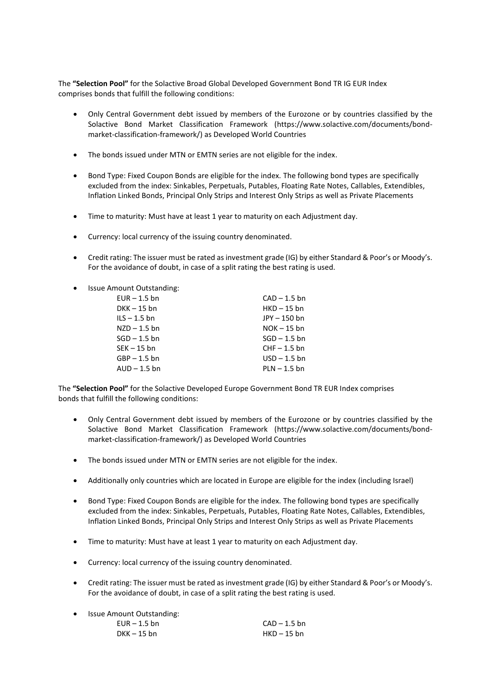The **"Selection Pool"** for the Solactive Broad Global Developed Government Bond TR IG EUR Index comprises bonds that fulfill the following conditions:

- Only Central Government debt issued by members of the Eurozone or by countries classified by the Solactive Bond Market Classification Framework [\(https://www.solactive.com/documents/bond](https://www.solactive.com/documents/bond-market-classification-framework/)[market-classification-framework/\)](https://www.solactive.com/documents/bond-market-classification-framework/) as Developed World Countries
- The bonds issued under MTN or EMTN series are not eligible for the index.
- Bond Type: Fixed Coupon Bonds are eligible for the index. The following bond types are specifically excluded from the index: Sinkables, Perpetuals, Putables, Floating Rate Notes, Callables, Extendibles, Inflation Linked Bonds, Principal Only Strips and Interest Only Strips as well as Private Placements
- Time to maturity: Must have at least 1 year to maturity on each Adjustment day.
- Currency: local currency of the issuing country denominated.
- Credit rating: The issuer must be rated as investment grade (IG) by either Standard & Poor's or Moody's. For the avoidance of doubt, in case of a split rating the best rating is used.
- Issue Amount Outstanding:

| $EUR - 1.5$ bn | $CAD - 1.5 bn$ |
|----------------|----------------|
| $DKK - 15$ bn  | $HKD - 15$ bn  |
| $ILS - 1.5$ bn | JPY - 150 bn   |
| $NZD - 1.5$ bn | $NOK - 15$ bn  |
| $SGD - 1.5$ bn | $SGD - 1.5$ bn |
| $SEK - 15$ bn  | $CHF - 1.5$ bn |
| $GBP - 1.5$ bn | $USD - 1.5$ bn |
| $AUD - 1.5$ bn | $PLN - 1.5$ bn |
|                |                |

The **"Selection Pool"** for the Solactive Developed Europe Government Bond TR EUR Index comprises bonds that fulfill the following conditions:

- Only Central Government debt issued by members of the Eurozone or by countries classified by the Solactive Bond Market Classification Framework [\(https://www.solactive.com/documents/bond](https://www.solactive.com/documents/bond-market-classification-framework/)[market-classification-framework/\)](https://www.solactive.com/documents/bond-market-classification-framework/) as Developed World Countries
- The bonds issued under MTN or EMTN series are not eligible for the index.
- Additionally only countries which are located in Europe are eligible for the index (including Israel)
- Bond Type: Fixed Coupon Bonds are eligible for the index. The following bond types are specifically excluded from the index: Sinkables, Perpetuals, Putables, Floating Rate Notes, Callables, Extendibles, Inflation Linked Bonds, Principal Only Strips and Interest Only Strips as well as Private Placements
- Time to maturity: Must have at least 1 year to maturity on each Adjustment day.
- Currency: local currency of the issuing country denominated.
- Credit rating: The issuer must be rated as investment grade (IG) by either Standard & Poor's or Moody's. For the avoidance of doubt, in case of a split rating the best rating is used.
- Issue Amount Outstanding:

| $EUR - 1.5$ bn | $CAD - 1.5 bn$ |
|----------------|----------------|
| DKK – 15 bn    | $HKD - 15$ bn  |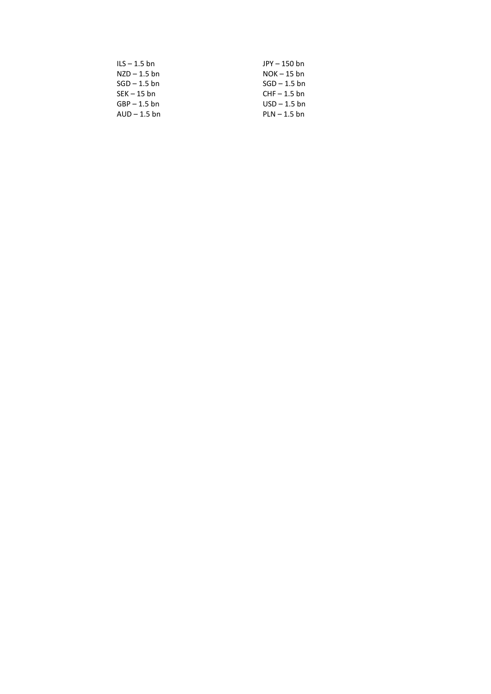| $ILS - 1.5$ bn | JPY - 150 bn   |
|----------------|----------------|
| $NZD - 1.5$ bn | $NOK - 15$ bn  |
| $SGD - 1.5$ bn | $SGD - 1.5$ bn |
| $SEK - 15$ bn  | $CHF - 1.5$ bn |
| $GBP - 1.5$ bn | $USD - 1.5$ bn |
| $AUD - 1.5$ bn | $PLN - 1.5$ bn |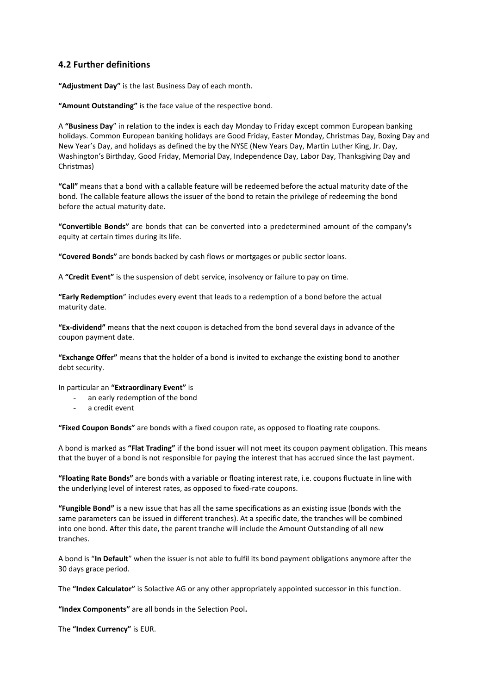### **4.2 Further definitions**

**"Adjustment Day"** is the last Business Day of each month.

**"Amount Outstanding"** is the face value of the respective bond.

A **"Business Day**" in relation to the index is each day Monday to Friday except common European banking holidays. Common European banking holidays are Good Friday, Easter Monday, Christmas Day, Boxing Day and New Year's Day, and holidays as defined the by the NYSE (New Years Day, Martin Luther King, Jr. Day, Washington's Birthday, Good Friday, Memorial Day, Independence Day, Labor Day, Thanksgiving Day and Christmas)

**"Call"** means that a bond with a callable feature will be redeemed before the actual maturity date of the bond. The callable feature allows the issuer of the bond to retain the privilege of redeeming the bond before the actual maturity date.

**"Convertible Bonds"** are bonds that can be converted into a predetermined amount of the company's equity at certain times during its life.

**"Covered Bonds"** are bonds backed by [cash flows](http://en.wikipedia.org/wiki/Cash_flow) or [mortgages](http://en.wikipedia.org/wiki/Mortgage_loan) or [public sector](http://en.wikipedia.org/wiki/Public_sector) [loans.](http://en.wikipedia.org/wiki/Loan)

A **"Credit Event"** is the suspension of debt service, insolvency or failure to pay on time.

**"Early Redemption**" includes every event that leads to a redemption of a bond before the actual maturity date.

**"Ex-dividend"** means that the next coupon is detached from the bond several days in advance of the coupon payment date.

**"Exchange Offer"** means that the holder of a bond is invited to exchange the existing bond to another debt security.

In particular an **"Extraordinary Event"** is

- an early redemption of the bond
- a credit event

**"Fixed Coupon Bonds"** are bonds with a fixed coupon rate, as opposed to floating rate coupons.

A bond is marked as **"Flat Trading"** if the bond issuer will not meet its coupon payment obligation. This means that the buyer of a bond is not responsible for paying the interest that has accrued since the last payment.

**"Floating Rate Bonds"** are bonds with a variable or floating interest rate, i.e. coupons fluctuate in line with the underlying level of interest rates, as opposed to fixed-rate coupons.

**"Fungible Bond"** is a new issue that has all the same specifications as an existing issue (bonds with the same parameters can be issued in different tranches). At a specific date, the tranches will be combined into one bond. After this date, the parent tranche will include the Amount Outstanding of all new tranches.

A bond is "**In Default**" when the issuer is not able to fulfil its bond payment obligations anymore after the 30 days grace period.

The **"Index Calculator"** is Solactive AG or any other appropriately appointed successor in this function.

**"Index Components"** are all bonds in the Selection Pool**.** 

The **"Index Currency"** is EUR.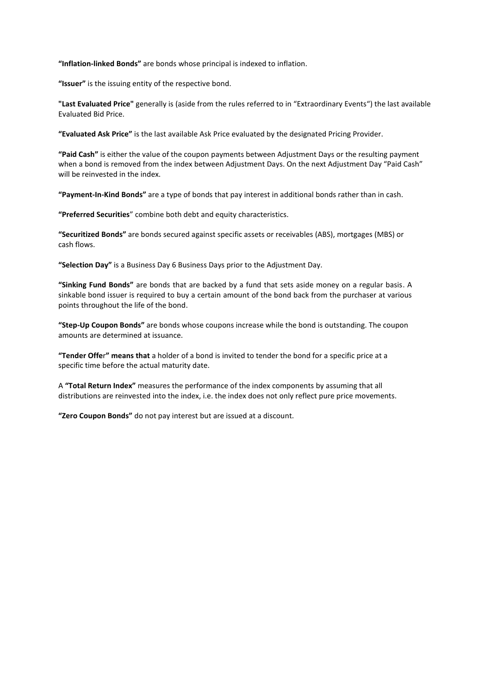**"Inflation-linked Bonds"** are [bonds](http://en.wikipedia.org/wiki/Bond_(finance)) whose principal is indexed to [inflation.](http://en.wikipedia.org/wiki/Inflation)

**"Issuer"** is the issuing entity of the respective bond.

**"Last Evaluated Price"** generally is (aside from the rules referred to in "Extraordinary Events") the last available Evaluated Bid Price.

**"Evaluated Ask Price"** is the last available Ask Price evaluated by the designated Pricing Provider.

**"Paid Cash"** is either the value of the coupon payments between Adjustment Days or the resulting payment when a bond is removed from the index between Adjustment Days. On the next Adjustment Day "Paid Cash" will be reinvested in the index.

**"Payment-In-Kind Bonds"** are a type of bonds that pay interest in additional bonds rather than in cash.

**"Preferred Securities**" combine both debt and equity characteristics.

**"Securitized Bonds"** are bonds secured against specific assets or receivables (ABS), mortgages (MBS) or cash flows.

**"Selection Day"** is a Business Day 6 Business Days prior to the Adjustment Day.

**"Sinking Fund Bonds"** are bonds that are backed by a fund that sets aside money on a regular basis. A sinkable bond issuer is required to buy a certain amount of the bond back from the purchaser at various points throughout the life of the bond.

**"Step-Up Coupon Bonds"** are bonds whose coupons increase while the bond is outstanding. The coupon amounts are determined at issuance.

**"Tender Offe**r**" means that** a holder of a bond is invited to tender the bond for a specific price at a specific time before the actual maturity date.

A **"Total Return Index"** measures the performance of the index components by assuming that all distributions are reinvested into the index, i.e. the index does not only reflect pure price movements.

**"Zero Coupon Bonds"** do not pay interest but are issued at a discount.